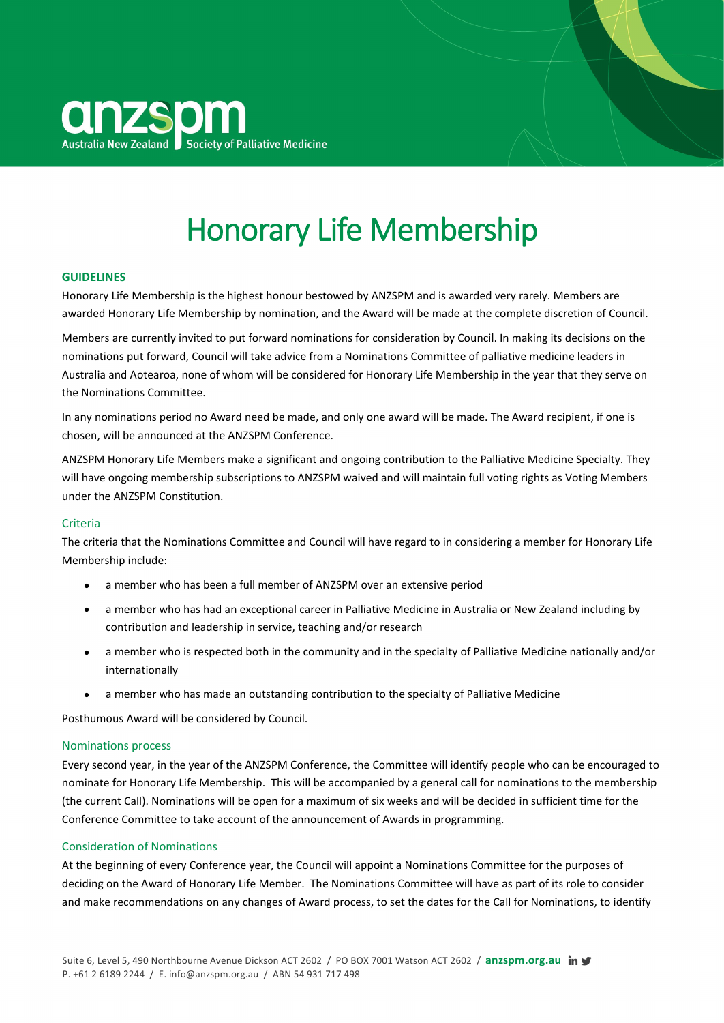

# Honorary Life Membership

## **GUIDELINES**

Honorary Life Membership is the highest honour bestowed by ANZSPM and is awarded very rarely. Members are awarded Honorary Life Membership by nomination, and the Award will be made at the complete discretion of Council.

Members are currently invited to put forward nominations for consideration by Council. In making its decisions on the nominations put forward, Council will take advice from a Nominations Committee of palliative medicine leaders in Australia and Aotearoa, none of whom will be considered for Honorary Life Membership in the year that they serve on the Nominations Committee.

In any nominations period no Award need be made, and only one award will be made. The Award recipient, if one is chosen, will be announced at the ANZSPM Conference.

ANZSPM Honorary Life Members make a significant and ongoing contribution to the Palliative Medicine Specialty. They will have ongoing membership subscriptions to ANZSPM waived and will maintain full voting rights as Voting Members under the ANZSPM Constitution.

## Criteria

The criteria that the Nominations Committee and Council will have regard to in considering a member for Honorary Life Membership include:

- a member who has been a full member of ANZSPM over an extensive period
- a member who has had an exceptional career in Palliative Medicine in Australia or New Zealand including by contribution and leadership in service, teaching and/or research
- a member who is respected both in the community and in the specialty of Palliative Medicine nationally and/or internationally
- a member who has made an outstanding contribution to the specialty of Palliative Medicine

Posthumous Award will be considered by Council.

#### Nominations process

Every second year, in the year of the ANZSPM Conference, the Committee will identify people who can be encouraged to nominate for Honorary Life Membership. This will be accompanied by a general call for nominations to the membership (the current Call). Nominations will be open for a maximum of six weeks and will be decided in sufficient time for the Conference Committee to take account of the announcement of Awards in programming.

## Consideration of Nominations

At the beginning of every Conference year, the Council will appoint a Nominations Committee for the purposes of deciding on the Award of Honorary Life Member. The Nominations Committee will have as part of its role to consider and make recommendations on any changes of Award process, to set the dates for the Call for Nominations, to identify